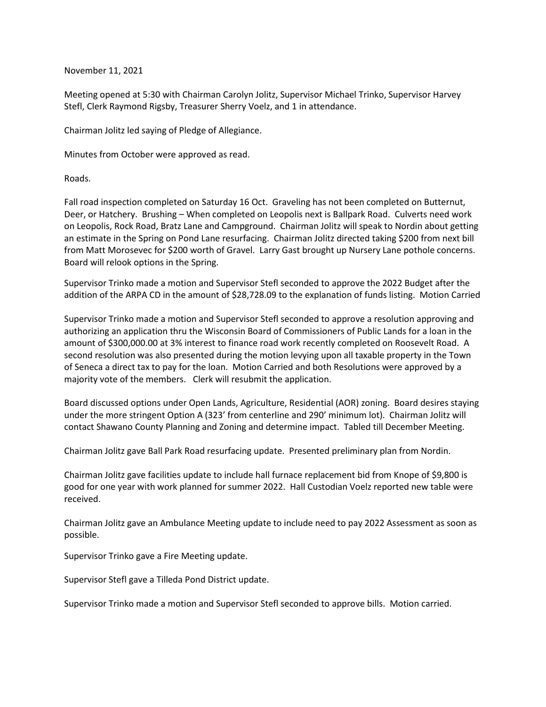## November 11, 2021

Meeting opened at 5:30 with Chairman Carolyn Jolitz, Supervisor Michael Trinko, Supervisor Harvey Stefl, Clerk Raymond Rigsby, Treasurer Sherry Voelz, and 1 in attendance.

Chairman Jolitz led saying of Pledge of Allegiance.

Minutes from October were approved as read.

Roads.

Fall road inspection completed on Saturday 16 Oct. Graveling has not been completed on Butternut, Deer, or Hatchery. Brushing – When completed on Leopolis next is Ballpark Road. Culverts need work on Leopolis, Rock Road, Bratz Lane and Campground. Chairman Jolitz will speak to Nordin about getting an estimate in the Spring on Pond Lane resurfacing. Chairman Jolitz directed taking \$200 from next bill from Matt Morosevec for \$200 worth of Gravel. Larry Gast brought up Nursery Lane pothole concerns. Board will relook options in the Spring.

Supervisor Trinko made a motion and Supervisor Stefl seconded to approve the 2022 Budget after the addition of the ARPA CD in the amount of \$28,728.09 to the explanation of funds listing. Motion Carried

Supervisor Trinko made a motion and Supervisor Stefl seconded to approve a resolution approving and authorizing an application thru the Wisconsin Board of Commissioners of Public Lands for a loan in the amount of \$300,000.00 at 3% interest to finance road work recently completed on Roosevelt Road. A second resolution was also presented during the motion levying upon all taxable property in the Town of Seneca a direct tax to pay for the loan. Motion Carried and both Resolutions were approved by a majority vote of the members. Clerk will resubmit the application.

Board discussed options under Open Lands, Agriculture, Residential (AOR) zoning. Board desires staying under the more stringent Option A (323' from centerline and 290' minimum lot). Chairman Jolitz will contact Shawano County Planning and Zoning and determine impact. Tabled till December Meeting.

Chairman Jolitz gave Ball Park Road resurfacing update. Presented preliminary plan from Nordin.

Chairman Jolitz gave facilities update to include hall furnace replacement bid from Knope of \$9,800 is good for one year with work planned for summer 2022. Hall Custodian Voelz reported new table were received.

Chairman Jolitz gave an Ambulance Meeting update to include need to pay 2022 Assessment as soon as possible.

Supervisor Trinko gave a Fire Meeting update.

Supervisor Stefl gave a Tilleda Pond District update.

Supervisor Trinko made a motion and Supervisor Stefl seconded to approve bills. Motion carried.